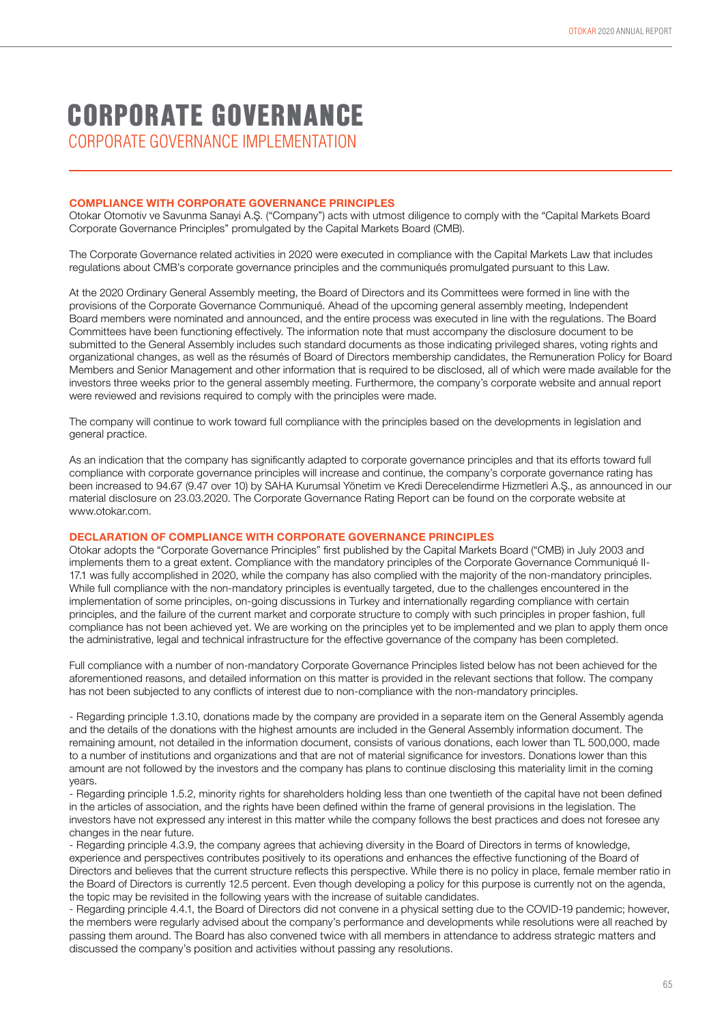# CORPORATE GOVERNANCE IMPLEMENTATION CORPORATE GOVERNANCE

### **COMPLIANCE WITH CORPORATE GOVERNANCE PRINCIPLES**

Otokar Otomotiv ve Savunma Sanayi A.Ş. ("Company") acts with utmost diligence to comply with the "Capital Markets Board Corporate Governance Principles" promulgated by the Capital Markets Board (CMB).

The Corporate Governance related activities in 2020 were executed in compliance with the Capital Markets Law that includes regulations about CMB's corporate governance principles and the communiqués promulgated pursuant to this Law.

At the 2020 Ordinary General Assembly meeting, the Board of Directors and its Committees were formed in line with the provisions of the Corporate Governance Communiqué. Ahead of the upcoming general assembly meeting, Independent Board members were nominated and announced, and the entire process was executed in line with the regulations. The Board Committees have been functioning effectively. The information note that must accompany the disclosure document to be submitted to the General Assembly includes such standard documents as those indicating privileged shares, voting rights and organizational changes, as well as the résumés of Board of Directors membership candidates, the Remuneration Policy for Board Members and Senior Management and other information that is required to be disclosed, all of which were made available for the investors three weeks prior to the general assembly meeting. Furthermore, the company's corporate website and annual report were reviewed and revisions required to comply with the principles were made.

The company will continue to work toward full compliance with the principles based on the developments in legislation and general practice.

As an indication that the company has significantly adapted to corporate governance principles and that its efforts toward full compliance with corporate governance principles will increase and continue, the company's corporate governance rating has been increased to 94.67 (9.47 over 10) by SAHA Kurumsal Yönetim ve Kredi Derecelendirme Hizmetleri A.Ş., as announced in our material disclosure on 23.03.2020. The Corporate Governance Rating Report can be found on the corporate website at www.otokar.com.

### **DECLARATION OF COMPLIANCE WITH CORPORATE GOVERNANCE PRINCIPLES**

Otokar adopts the "Corporate Governance Principles" first published by the Capital Markets Board ("CMB) in July 2003 and implements them to a great extent. Compliance with the mandatory principles of the Corporate Governance Communiqué II-17.1 was fully accomplished in 2020, while the company has also complied with the majority of the non-mandatory principles. While full compliance with the non-mandatory principles is eventually targeted, due to the challenges encountered in the implementation of some principles, on-going discussions in Turkey and internationally regarding compliance with certain principles, and the failure of the current market and corporate structure to comply with such principles in proper fashion, full compliance has not been achieved yet. We are working on the principles yet to be implemented and we plan to apply them once the administrative, legal and technical infrastructure for the effective governance of the company has been completed.

Full compliance with a number of non-mandatory Corporate Governance Principles listed below has not been achieved for the aforementioned reasons, and detailed information on this matter is provided in the relevant sections that follow. The company has not been subjected to any conflicts of interest due to non-compliance with the non-mandatory principles.

- Regarding principle 1.3.10, donations made by the company are provided in a separate item on the General Assembly agenda and the details of the donations with the highest amounts are included in the General Assembly information document. The remaining amount, not detailed in the information document, consists of various donations, each lower than TL 500,000, made to a number of institutions and organizations and that are not of material significance for investors. Donations lower than this amount are not followed by the investors and the company has plans to continue disclosing this materiality limit in the coming years.

- Regarding principle 1.5.2, minority rights for shareholders holding less than one twentieth of the capital have not been defined in the articles of association, and the rights have been defined within the frame of general provisions in the legislation. The investors have not expressed any interest in this matter while the company follows the best practices and does not foresee any changes in the near future.

- Regarding principle 4.3.9, the company agrees that achieving diversity in the Board of Directors in terms of knowledge, experience and perspectives contributes positively to its operations and enhances the effective functioning of the Board of Directors and believes that the current structure reflects this perspective. While there is no policy in place, female member ratio in the Board of Directors is currently 12.5 percent. Even though developing a policy for this purpose is currently not on the agenda, the topic may be revisited in the following years with the increase of suitable candidates.

- Regarding principle 4.4.1, the Board of Directors did not convene in a physical setting due to the COVID-19 pandemic; however, the members were regularly advised about the company's performance and developments while resolutions were all reached by passing them around. The Board has also convened twice with all members in attendance to address strategic matters and discussed the company's position and activities without passing any resolutions.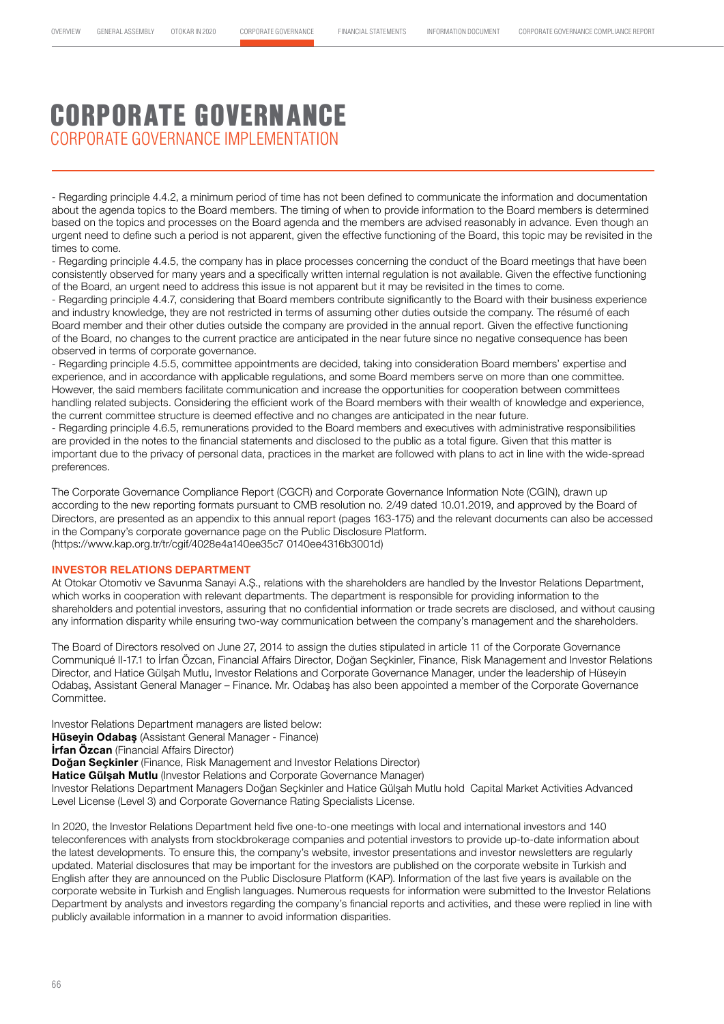# CORPORATE GOVERNANCE CORPORATE GOVERNANCE IMPLEMENTATION

- Regarding principle 4.4.2, a minimum period of time has not been defined to communicate the information and documentation about the agenda topics to the Board members. The timing of when to provide information to the Board members is determined based on the topics and processes on the Board agenda and the members are advised reasonably in advance. Even though an urgent need to define such a period is not apparent, given the effective functioning of the Board, this topic may be revisited in the times to come.

- Regarding principle 4.4.5, the company has in place processes concerning the conduct of the Board meetings that have been consistently observed for many years and a specifically written internal regulation is not available. Given the effective functioning of the Board, an urgent need to address this issue is not apparent but it may be revisited in the times to come.

- Regarding principle 4.4.7, considering that Board members contribute significantly to the Board with their business experience and industry knowledge, they are not restricted in terms of assuming other duties outside the company. The résumé of each Board member and their other duties outside the company are provided in the annual report. Given the effective functioning of the Board, no changes to the current practice are anticipated in the near future since no negative consequence has been observed in terms of corporate governance.

- Regarding principle 4.5.5, committee appointments are decided, taking into consideration Board members' expertise and experience, and in accordance with applicable regulations, and some Board members serve on more than one committee. However, the said members facilitate communication and increase the opportunities for cooperation between committees handling related subjects. Considering the efficient work of the Board members with their wealth of knowledge and experience, the current committee structure is deemed effective and no changes are anticipated in the near future.

- Regarding principle 4.6.5, remunerations provided to the Board members and executives with administrative responsibilities are provided in the notes to the financial statements and disclosed to the public as a total figure. Given that this matter is important due to the privacy of personal data, practices in the market are followed with plans to act in line with the wide-spread preferences.

The Corporate Governance Compliance Report (CGCR) and Corporate Governance Information Note (CGIN), drawn up according to the new reporting formats pursuant to CMB resolution no. 2/49 dated 10.01.2019, and approved by the Board of Directors, are presented as an appendix to this annual report (pages 163-175) and the relevant documents can also be accessed in the Company's corporate governance page on the Public Disclosure Platform. (https://www.kap.org.tr/tr/cgif/4028e4a140ee35c7 0140ee4316b3001d)

#### **INVESTOR RELATIONS DEPARTMENT**

At Otokar Otomotiv ve Savunma Sanayi A.Ş., relations with the shareholders are handled by the Investor Relations Department, which works in cooperation with relevant departments. The department is responsible for providing information to the shareholders and potential investors, assuring that no confidential information or trade secrets are disclosed, and without causing any information disparity while ensuring two-way communication between the company's management and the shareholders.

The Board of Directors resolved on June 27, 2014 to assign the duties stipulated in article 11 of the Corporate Governance Communiqué II-17.1 to İrfan Özcan, Financial Affairs Director, Doğan Seçkinler, Finance, Risk Management and Investor Relations Director, and Hatice Gülşah Mutlu, Investor Relations and Corporate Governance Manager, under the leadership of Hüseyin Odabaş, Assistant General Manager – Finance. Mr. Odabaş has also been appointed a member of the Corporate Governance Committee.

Investor Relations Department managers are listed below:

**Hüseyin Odabaş** (Assistant General Manager - Finance)

**İrfan Özcan** (Financial Affairs Director)

**Doğan Seçkinler** (Finance, Risk Management and Investor Relations Director)

**Hatice Gülşah Mutlu** (Investor Relations and Corporate Governance Manager)

Investor Relations Department Managers Doğan Seçkinler and Hatice Gülşah Mutlu hold Capital Market Activities Advanced Level License (Level 3) and Corporate Governance Rating Specialists License.

In 2020, the Investor Relations Department held five one-to-one meetings with local and international investors and 140 teleconferences with analysts from stockbrokerage companies and potential investors to provide up-to-date information about the latest developments. To ensure this, the company's website, investor presentations and investor newsletters are regularly updated. Material disclosures that may be important for the investors are published on the corporate website in Turkish and English after they are announced on the Public Disclosure Platform (KAP). Information of the last five years is available on the corporate website in Turkish and English languages. Numerous requests for information were submitted to the Investor Relations Department by analysts and investors regarding the company's financial reports and activities, and these were replied in line with publicly available information in a manner to avoid information disparities.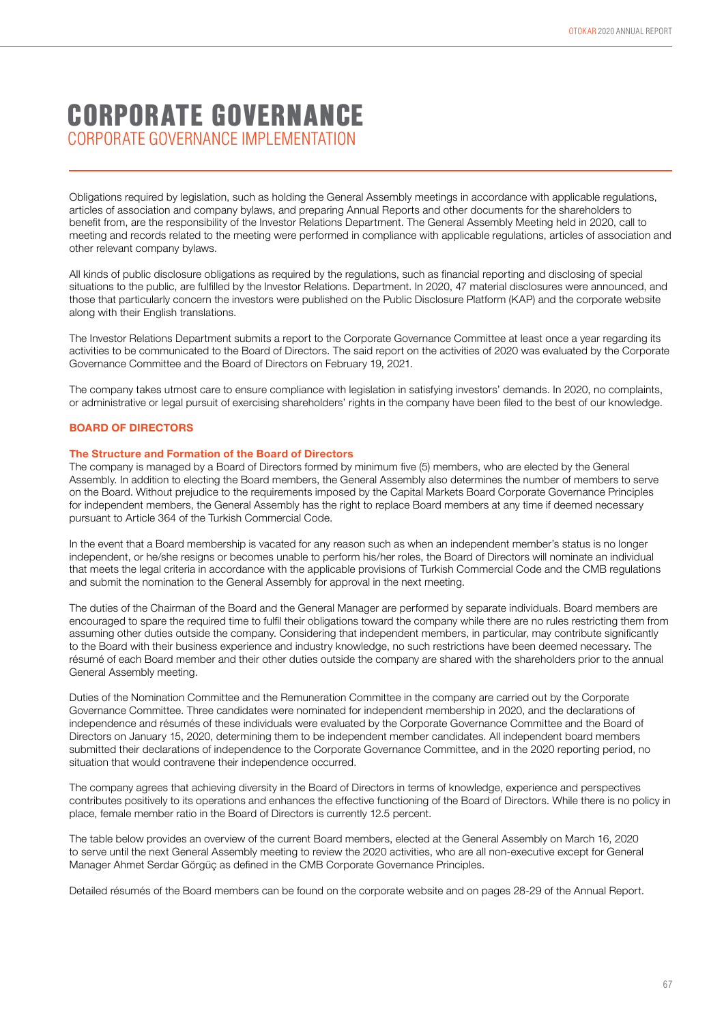## CORPORATE GOVERNANCE CORPORATE GOVERNANCE IMPI EMENTATION

Obligations required by legislation, such as holding the General Assembly meetings in accordance with applicable regulations, articles of association and company bylaws, and preparing Annual Reports and other documents for the shareholders to benefit from, are the responsibility of the Investor Relations Department. The General Assembly Meeting held in 2020, call to meeting and records related to the meeting were performed in compliance with applicable regulations, articles of association and other relevant company bylaws.

All kinds of public disclosure obligations as required by the regulations, such as financial reporting and disclosing of special situations to the public, are fulfilled by the Investor Relations. Department. In 2020, 47 material disclosures were announced, and those that particularly concern the investors were published on the Public Disclosure Platform (KAP) and the corporate website along with their English translations.

The Investor Relations Department submits a report to the Corporate Governance Committee at least once a year regarding its activities to be communicated to the Board of Directors. The said report on the activities of 2020 was evaluated by the Corporate Governance Committee and the Board of Directors on February 19, 2021.

The company takes utmost care to ensure compliance with legislation in satisfying investors' demands. In 2020, no complaints, or administrative or legal pursuit of exercising shareholders' rights in the company have been filed to the best of our knowledge.

### **BOARD OF DIRECTORS**

#### **The Structure and Formation of the Board of Directors**

The company is managed by a Board of Directors formed by minimum five (5) members, who are elected by the General Assembly. In addition to electing the Board members, the General Assembly also determines the number of members to serve on the Board. Without prejudice to the requirements imposed by the Capital Markets Board Corporate Governance Principles for independent members, the General Assembly has the right to replace Board members at any time if deemed necessary pursuant to Article 364 of the Turkish Commercial Code.

In the event that a Board membership is vacated for any reason such as when an independent member's status is no longer independent, or he/she resigns or becomes unable to perform his/her roles, the Board of Directors will nominate an individual that meets the legal criteria in accordance with the applicable provisions of Turkish Commercial Code and the CMB regulations and submit the nomination to the General Assembly for approval in the next meeting.

The duties of the Chairman of the Board and the General Manager are performed by separate individuals. Board members are encouraged to spare the required time to fulfil their obligations toward the company while there are no rules restricting them from assuming other duties outside the company. Considering that independent members, in particular, may contribute significantly to the Board with their business experience and industry knowledge, no such restrictions have been deemed necessary. The résumé of each Board member and their other duties outside the company are shared with the shareholders prior to the annual General Assembly meeting.

Duties of the Nomination Committee and the Remuneration Committee in the company are carried out by the Corporate Governance Committee. Three candidates were nominated for independent membership in 2020, and the declarations of independence and résumés of these individuals were evaluated by the Corporate Governance Committee and the Board of Directors on January 15, 2020, determining them to be independent member candidates. All independent board members submitted their declarations of independence to the Corporate Governance Committee, and in the 2020 reporting period, no situation that would contravene their independence occurred.

The company agrees that achieving diversity in the Board of Directors in terms of knowledge, experience and perspectives contributes positively to its operations and enhances the effective functioning of the Board of Directors. While there is no policy in place, female member ratio in the Board of Directors is currently 12.5 percent.

The table below provides an overview of the current Board members, elected at the General Assembly on March 16, 2020 to serve until the next General Assembly meeting to review the 2020 activities, who are all non-executive except for General Manager Ahmet Serdar Görgüç as defined in the CMB Corporate Governance Principles.

Detailed résumés of the Board members can be found on the corporate website and on pages 28-29 of the Annual Report.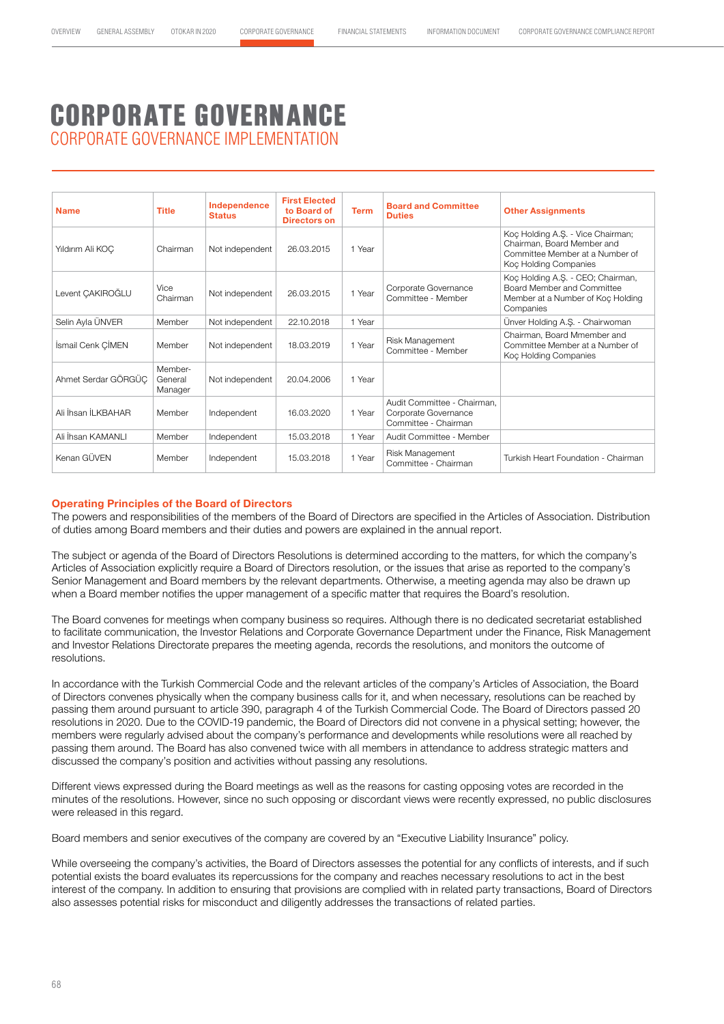# CORPORATE GOVERNANCE IMPLEMENTATION CORPORATE GOVERNANCE

| <b>Name</b>         | <b>Title</b>                  | Independence<br><b>Status</b> | <b>First Elected</b><br>to Board of<br>Directors on | <b>Term</b> | <b>Board and Committee</b><br><b>Duties</b>                                 | <b>Other Assignments</b>                                                                                                    |
|---------------------|-------------------------------|-------------------------------|-----------------------------------------------------|-------------|-----------------------------------------------------------------------------|-----------------------------------------------------------------------------------------------------------------------------|
| Yıldırım Ali KOC    | Chairman                      | Not independent               | 26.03.2015                                          | 1 Year      |                                                                             | Koç Holding A.Ş. - Vice Chairman;<br>Chairman, Board Member and<br>Committee Member at a Number of<br>Koc Holding Companies |
| Levent CAKIROĞLU    | <b>Vice</b><br>Chairman       | Not independent               | 26.03.2015                                          | 1 Year      | Corporate Governance<br>Committee - Member                                  | Koç Holding A.Ş. - CEO; Chairman,<br>Board Member and Committee<br>Member at a Number of Koç Holding<br>Companies           |
| Selin Ayla ÜNVER    | Member                        | Not independent               | 22.10.2018                                          | 1 Year      |                                                                             | Ünver Holding A.S. - Chairwoman                                                                                             |
| İsmail Cenk CİMEN   | Member                        | Not independent               | 18.03.2019                                          | 1 Year      | Risk Management<br>Committee - Member                                       | Chairman, Board Mmember and<br>Committee Member at a Number of<br>Koç Holding Companies                                     |
| Ahmet Serdar GÖRGÜC | Member-<br>General<br>Manager | Not independent               | 20.04.2006                                          | 1 Year      |                                                                             |                                                                                                                             |
| Ali İhsan İLKBAHAR  | Member                        | Independent                   | 16.03.2020                                          | 1 Year      | Audit Committee - Chairman.<br>Corporate Governance<br>Committee - Chairman |                                                                                                                             |
| Ali İhsan KAMANLI   | Member                        | Independent                   | 15.03.2018                                          | 1 Year      | Audit Committee - Member                                                    |                                                                                                                             |
| Kenan GÜVEN         | Member                        | Independent                   | 15.03.2018                                          | 1 Year      | Risk Management<br>Committee - Chairman                                     | Turkish Heart Foundation - Chairman                                                                                         |

### **Operating Principles of the Board of Directors**

The powers and responsibilities of the members of the Board of Directors are specified in the Articles of Association. Distribution of duties among Board members and their duties and powers are explained in the annual report.

The subject or agenda of the Board of Directors Resolutions is determined according to the matters, for which the company's Articles of Association explicitly require a Board of Directors resolution, or the issues that arise as reported to the company's Senior Management and Board members by the relevant departments. Otherwise, a meeting agenda may also be drawn up when a Board member notifies the upper management of a specific matter that requires the Board's resolution.

The Board convenes for meetings when company business so requires. Although there is no dedicated secretariat established to facilitate communication, the Investor Relations and Corporate Governance Department under the Finance, Risk Management and Investor Relations Directorate prepares the meeting agenda, records the resolutions, and monitors the outcome of resolutions.

In accordance with the Turkish Commercial Code and the relevant articles of the company's Articles of Association, the Board of Directors convenes physically when the company business calls for it, and when necessary, resolutions can be reached by passing them around pursuant to article 390, paragraph 4 of the Turkish Commercial Code. The Board of Directors passed 20 resolutions in 2020. Due to the COVID-19 pandemic, the Board of Directors did not convene in a physical setting; however, the members were regularly advised about the company's performance and developments while resolutions were all reached by passing them around. The Board has also convened twice with all members in attendance to address strategic matters and discussed the company's position and activities without passing any resolutions.

Different views expressed during the Board meetings as well as the reasons for casting opposing votes are recorded in the minutes of the resolutions. However, since no such opposing or discordant views were recently expressed, no public disclosures were released in this regard.

Board members and senior executives of the company are covered by an "Executive Liability Insurance" policy.

While overseeing the company's activities, the Board of Directors assesses the potential for any conflicts of interests, and if such potential exists the board evaluates its repercussions for the company and reaches necessary resolutions to act in the best interest of the company. In addition to ensuring that provisions are complied with in related party transactions, Board of Directors also assesses potential risks for misconduct and diligently addresses the transactions of related parties.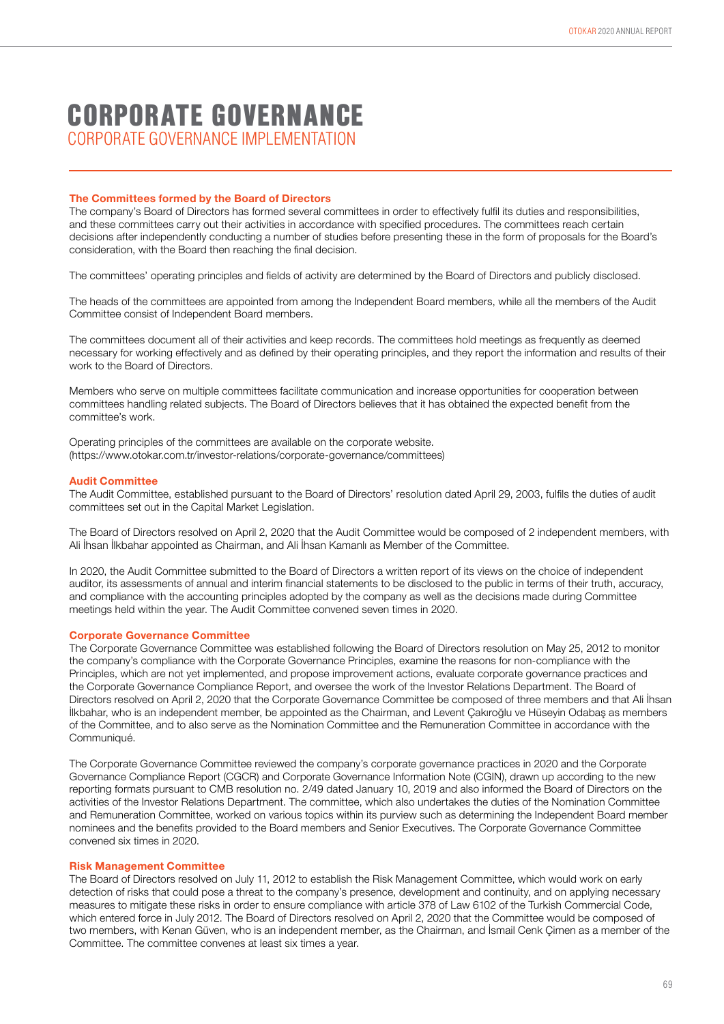## CORPORATE GOVERNANCE IMPI EMENTATION CORPORATE GOVERNANCE

### **The Committees formed by the Board of Directors**

The company's Board of Directors has formed several committees in order to effectively fulfil its duties and responsibilities, and these committees carry out their activities in accordance with specified procedures. The committees reach certain decisions after independently conducting a number of studies before presenting these in the form of proposals for the Board's consideration, with the Board then reaching the final decision.

The committees' operating principles and fields of activity are determined by the Board of Directors and publicly disclosed.

The heads of the committees are appointed from among the Independent Board members, while all the members of the Audit Committee consist of Independent Board members.

The committees document all of their activities and keep records. The committees hold meetings as frequently as deemed necessary for working effectively and as defined by their operating principles, and they report the information and results of their work to the Board of Directors.

Members who serve on multiple committees facilitate communication and increase opportunities for cooperation between committees handling related subjects. The Board of Directors believes that it has obtained the expected benefit from the committee's work.

Operating principles of the committees are available on the corporate website. (https://www.otokar.com.tr/investor-relations/corporate-governance/committees)

### **Audit Committee**

The Audit Committee, established pursuant to the Board of Directors' resolution dated April 29, 2003, fulfils the duties of audit committees set out in the Capital Market Legislation.

The Board of Directors resolved on April 2, 2020 that the Audit Committee would be composed of 2 independent members, with Ali İhsan İlkbahar appointed as Chairman, and Ali İhsan Kamanlı as Member of the Committee.

In 2020, the Audit Committee submitted to the Board of Directors a written report of its views on the choice of independent auditor, its assessments of annual and interim financial statements to be disclosed to the public in terms of their truth, accuracy, and compliance with the accounting principles adopted by the company as well as the decisions made during Committee meetings held within the year. The Audit Committee convened seven times in 2020.

#### **Corporate Governance Committee**

The Corporate Governance Committee was established following the Board of Directors resolution on May 25, 2012 to monitor the company's compliance with the Corporate Governance Principles, examine the reasons for non-compliance with the Principles, which are not yet implemented, and propose improvement actions, evaluate corporate governance practices and the Corporate Governance Compliance Report, and oversee the work of the Investor Relations Department. The Board of Directors resolved on April 2, 2020 that the Corporate Governance Committee be composed of three members and that Ali İhsan İlkbahar, who is an independent member, be appointed as the Chairman, and Levent Çakıroğlu ve Hüseyin Odabaş as members of the Committee, and to also serve as the Nomination Committee and the Remuneration Committee in accordance with the Communiqué.

The Corporate Governance Committee reviewed the company's corporate governance practices in 2020 and the Corporate Governance Compliance Report (CGCR) and Corporate Governance Information Note (CGIN), drawn up according to the new reporting formats pursuant to CMB resolution no. 2/49 dated January 10, 2019 and also informed the Board of Directors on the activities of the Investor Relations Department. The committee, which also undertakes the duties of the Nomination Committee and Remuneration Committee, worked on various topics within its purview such as determining the Independent Board member nominees and the benefits provided to the Board members and Senior Executives. The Corporate Governance Committee convened six times in 2020.

#### **Risk Management Committee**

The Board of Directors resolved on July 11, 2012 to establish the Risk Management Committee, which would work on early detection of risks that could pose a threat to the company's presence, development and continuity, and on applying necessary measures to mitigate these risks in order to ensure compliance with article 378 of Law 6102 of the Turkish Commercial Code, which entered force in July 2012. The Board of Directors resolved on April 2, 2020 that the Committee would be composed of two members, with Kenan Güven, who is an independent member, as the Chairman, and İsmail Cenk Çimen as a member of the Committee. The committee convenes at least six times a year.